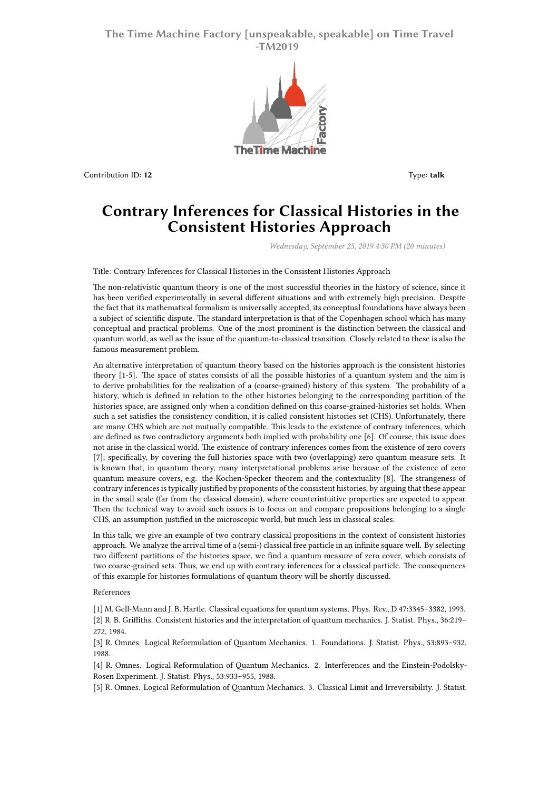## **The Time Machine Factory [unspeakable, speakable] on Time Travel -TM2019**



Contribution ID: **12** Type: **talk**

## **Contrary Inferences for Classical Histories in the Consistent Histories Approach**

*Wednesday, September 25, 2019 4:30 PM (20 minutes)*

Title: Contrary Inferences for Classical Histories in the Consistent Histories Approach

The non-relativistic quantum theory is one of the most successful theories in the history of science, since it has been verified experimentally in several different situations and with extremely high precision. Despite the fact that its mathematical formalism is universally accepted, its conceptual foundations have always been a subject of scientific dispute. The standard interpretation is that of the Copenhagen school which has many conceptual and practical problems. One of the most prominent is the distinction between the classical and quantum world, as well as the issue of the quantum-to-classical transition. Closely related to these is also the famous measurement problem.

An alternative interpretation of quantum theory based on the histories approach is the consistent histories theory [1-5]. The space of states consists of all the possible histories of a quantum system and the aim is to derive probabilities for the realization of a (coarse-grained) history of this system. The probability of a history, which is defined in relation to the other histories belonging to the corresponding partition of the histories space, are assigned only when a condition defined on this coarse-grained-histories set holds. When such a set satisfies the consistency condition, it is called consistent histories set (CHS). Unfortunately, there are many CHS which are not mutually compatible. This leads to the existence of contrary inferences, which are defined as two contradictory arguments both implied with probability one [6]. Of course, this issue does not arise in the classical world. The existence of contrary inferences comes from the existence of zero covers [7]; specifically, by covering the full histories space with two (overlapping) zero quantum measure sets. It is known that, in quantum theory, many interpretational problems arise because of the existence of zero quantum measure covers, e.g. the Kochen-Specker theorem and the contextuality [8]. The strangeness of contrary inferences is typically justified by proponents of the consistent histories, by arguing that these appear in the small scale (far from the classical domain), where counterintuitive properties are expected to appear. Then the technical way to avoid such issues is to focus on and compare propositions belonging to a single CHS, an assumption justified in the microscopic world, but much less in classical scales.

In this talk, we give an example of two contrary classical propositions in the context of consistent histories approach. We analyze the arrival time of a (semi-) classical free particle in an infinite square well. By selecting two different partitions of the histories space, we find a quantum measure of zero cover, which consists of two coarse-grained sets. Thus, we end up with contrary inferences for a classical particle. The consequences of this example for histories formulations of quantum theory will be shortly discussed.

## References

[1] M. Gell-Mann and J. B. Hartle. Classical equations for quantum systems. Phys. Rev., D 47:3345–3382, 1993. [2] R. B. Griffiths. Consistent histories and the interpretation of quantum mechanics. J. Statist. Phys., 36:219– 272, 1984.

[3] R. Omnes. Logical Reformulation of Quantum Mechanics. 1. Foundations. J. Statist. Phys., 53:893–932, 1988.

[4] R. Omnes. Logical Reformulation of Quantum Mechanics. 2. Interferences and the Einstein-Podolsky-Rosen Experiment. J. Statist. Phys., 53:933–955, 1988.

[5] R. Omnes. Logical Reformulation of Quantum Mechanics. 3. Classical Limit and Irreversibility. J. Statist.